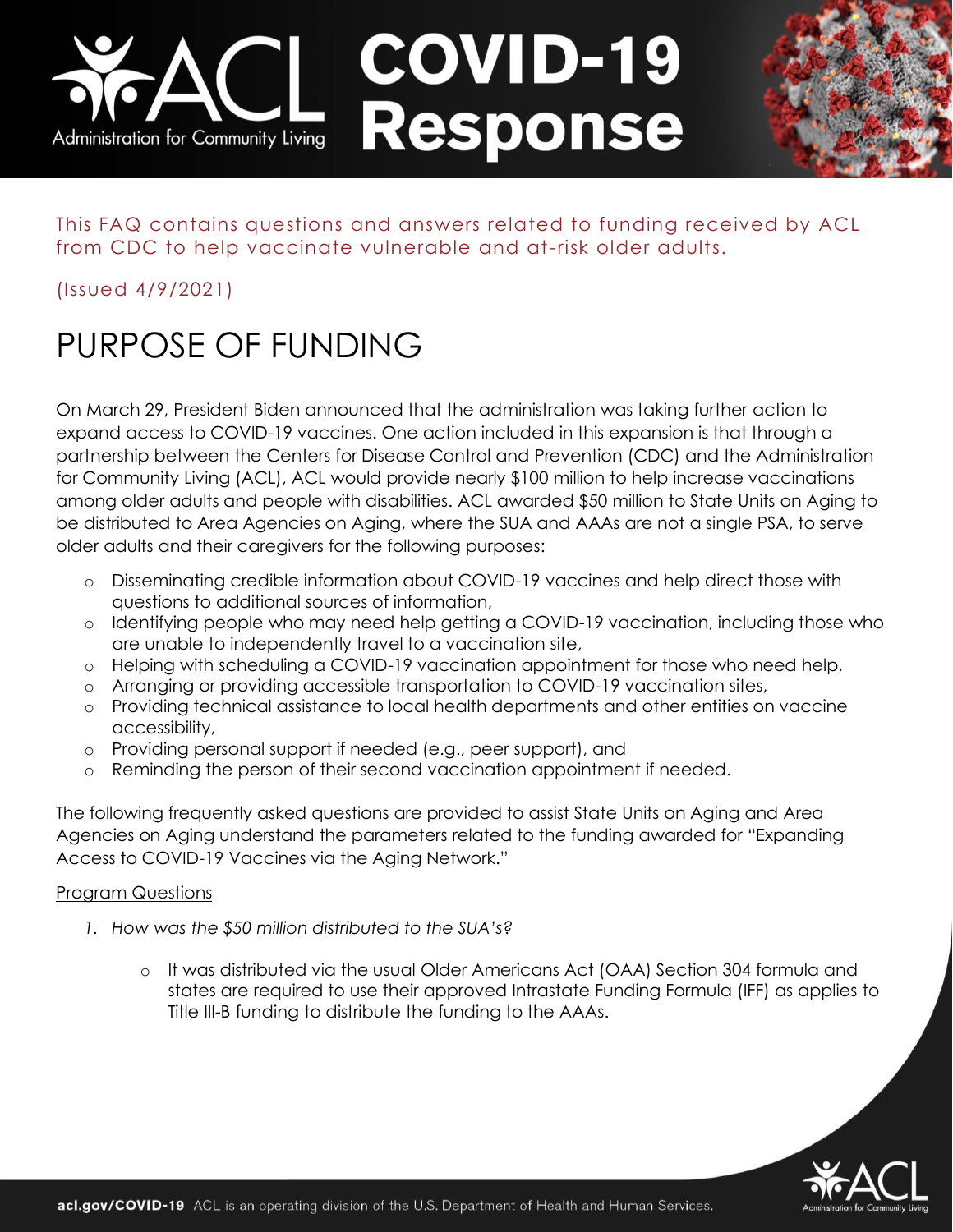# **COVID-19** Response Administration for Community Living

This FAQ contains questions and answers related to funding received by ACL from CDC to help vaccinate vulnerable and at-risk older adults.

(Issued 4/9/2021)

# PURPOSE OF FUNDING

On March 29, President Biden announced that the administration was taking further action to expand access to COVID-19 vaccines. One action included in this expansion is that through a partnership between the Centers for Disease Control and Prevention (CDC) and the Administration for Community Living (ACL), ACL would provide nearly \$100 million to help increase vaccinations among older adults and people with disabilities. ACL awarded \$50 million to State Units on Aging to be distributed to Area Agencies on Aging, where the SUA and AAAs are not a single PSA, to serve older adults and their caregivers for the following purposes:

- o Disseminating credible information about COVID-19 vaccines and help direct those with questions to additional sources of information,
- o Identifying people who may need help getting a COVID-19 vaccination, including those who are unable to independently travel to a vaccination site,
- o Helping with scheduling a COVID-19 vaccination appointment for those who need help,
- o Arranging or providing accessible transportation to COVID-19 vaccination sites,
- o Providing technical assistance to local health departments and other entities on vaccine accessibility,
- o Providing personal support if needed (e.g., peer support), and
- o Reminding the person of their second vaccination appointment if needed.

The following frequently asked questions are provided to assist State Units on Aging and Area Agencies on Aging understand the parameters related to the funding awarded for "Expanding Access to COVID-19 Vaccines via the Aging Network."

## Program Questions

- *1. How was the \$50 million distributed to the SUA's?* 
	- o It was distributed via the usual Older Americans Act (OAA) Section 304 formula and states are required to use their approved Intrastate Funding Formula (IFF) as applies to Title III-B funding to distribute the funding to the AAAs.

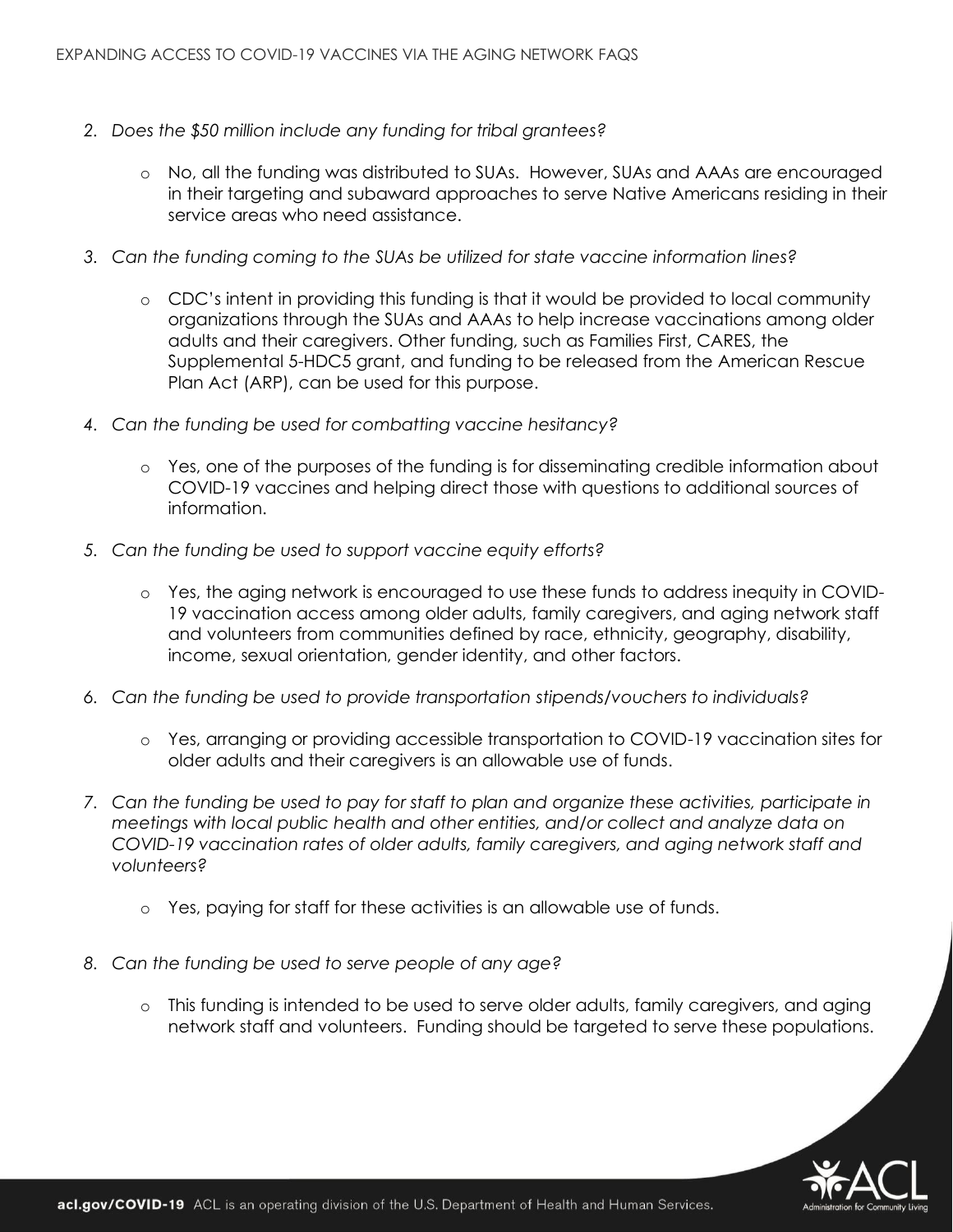- *2. Does the \$50 million include any funding for tribal grantees?* 
	- o No, all the funding was distributed to SUAs. However, SUAs and AAAs are encouraged in their targeting and subaward approaches to serve Native Americans residing in their service areas who need assistance.
- *3. Can the funding coming to the SUAs be utilized for state vaccine information lines?* 
	- o CDC's intent in providing this funding is that it would be provided to local community organizations through the SUAs and AAAs to help increase vaccinations among older adults and their caregivers. Other funding, such as Families First, CARES, the Supplemental 5-HDC5 grant, and funding to be released from the American Rescue Plan Act (ARP), can be used for this purpose.
- *4. Can the funding be used for combatting vaccine hesitancy?* 
	- o Yes, one of the purposes of the funding is for disseminating credible information about COVID-19 vaccines and helping direct those with questions to additional sources of information.
- *5. Can the funding be used to support vaccine equity efforts?*
	- o Yes, the aging network is encouraged to use these funds to address inequity in COVID-19 vaccination access among older adults, family caregivers, and aging network staff and volunteers from communities defined by race, ethnicity, geography, disability, income, sexual orientation, gender identity, and other factors.
- *6. Can the funding be used to provide transportation stipends/vouchers to individuals?*
	- o Yes, arranging or providing accessible transportation to COVID-19 vaccination sites for older adults and their caregivers is an allowable use of funds.
- *7. Can the funding be used to pay for staff to plan and organize these activities, participate in meetings with local public health and other entities, and/or collect and analyze data on COVID-19 vaccination rates of older adults, family caregivers, and aging network staff and volunteers?* 
	- o Yes, paying for staff for these activities is an allowable use of funds.
- *8. Can the funding be used to serve people of any age?*
	- o This funding is intended to be used to serve older adults, family caregivers, and aging network staff and volunteers. Funding should be targeted to serve these populations.

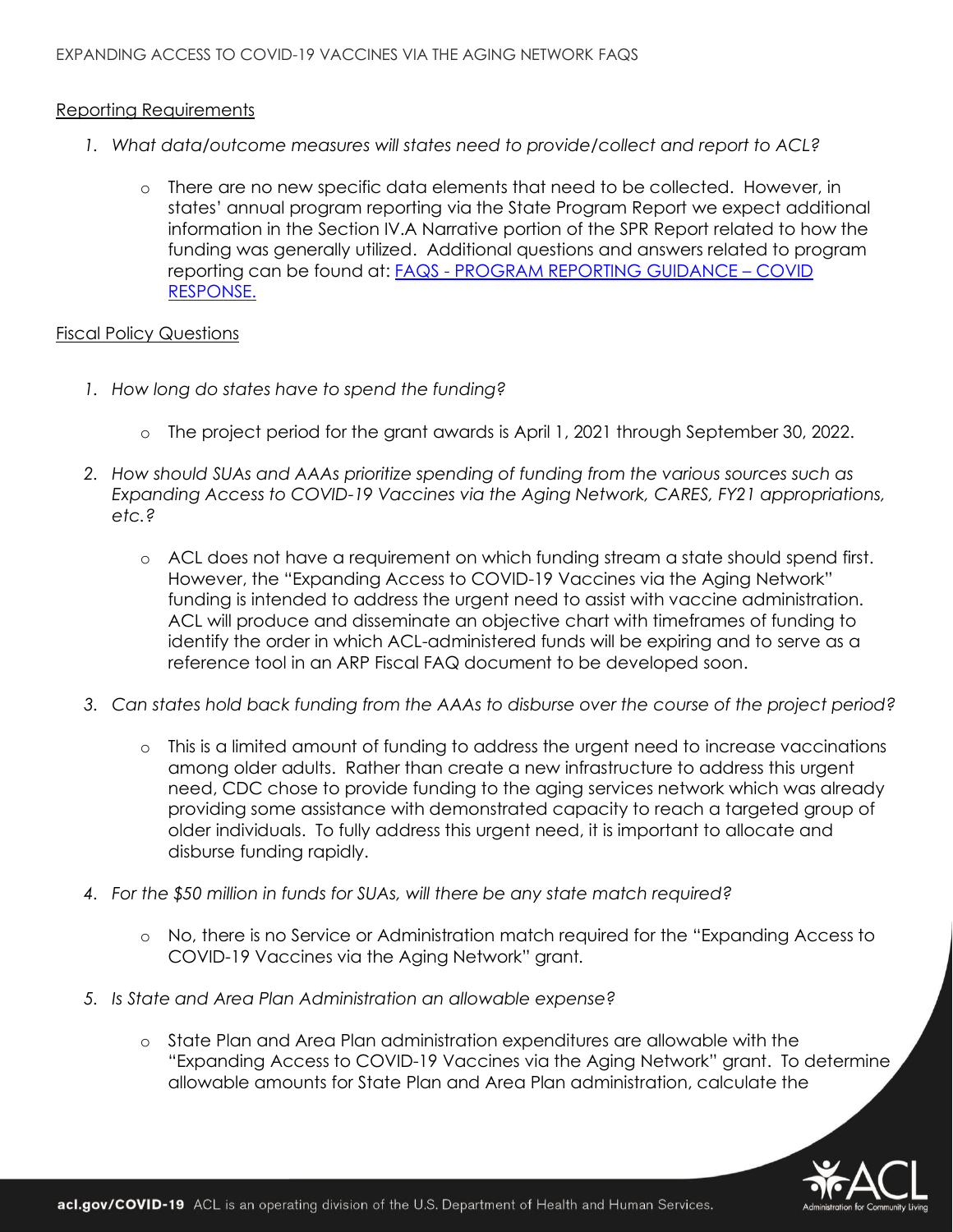### Reporting Requirements

- *1. What data/outcome measures will states need to provide/collect and report to ACL?* 
	- o There are no new specific data elements that need to be collected. However, in states' annual program reporting via the State Program Report we expect additional information in the Section IV.A Narrative portion of the SPR Report related to how the funding was generally utilized. Additional questions and answers related to program reporting can be found at: FAQS - [PROGRAM REPORTING GUIDANCE](https://acl.gov/sites/default/files/common/C19-SPR_HDC5%20updates%20020521_CM%20%28002%29%20January%202021.pdf) – COVID [RESPONSE.](https://acl.gov/sites/default/files/common/C19-SPR_HDC5%20updates%20020521_CM%20%28002%29%20January%202021.pdf)

### Fiscal Policy Questions

- *1. How long do states have to spend the funding?*
	- o The project period for the grant awards is April 1, 2021 through September 30, 2022.
- *2. How should SUAs and AAAs prioritize spending of funding from the various sources such as Expanding Access to COVID-19 Vaccines via the Aging Network, CARES, FY21 appropriations, etc.?* 
	- o ACL does not have a requirement on which funding stream a state should spend first. However, the "Expanding Access to COVID-19 Vaccines via the Aging Network" funding is intended to address the urgent need to assist with vaccine administration. ACL will produce and disseminate an objective chart with timeframes of funding to identify the order in which ACL-administered funds will be expiring and to serve as a reference tool in an ARP Fiscal FAQ document to be developed soon.
- *3. Can states hold back funding from the AAAs to disburse over the course of the project period?* 
	- o This is a limited amount of funding to address the urgent need to increase vaccinations among older adults. Rather than create a new infrastructure to address this urgent need, CDC chose to provide funding to the aging services network which was already providing some assistance with demonstrated capacity to reach a targeted group of older individuals. To fully address this urgent need, it is important to allocate and disburse funding rapidly.
- *4. For the \$50 million in funds for SUAs, will there be any state match required?*
	- o No, there is no Service or Administration match required for the "Expanding Access to COVID-19 Vaccines via the Aging Network" grant*.*
- *5. Is State and Area Plan Administration an allowable expense?*
	- o State Plan and Area Plan administration expenditures are allowable with the "Expanding Access to COVID-19 Vaccines via the Aging Network" grant. To determine allowable amounts for State Plan and Area Plan administration, calculate the

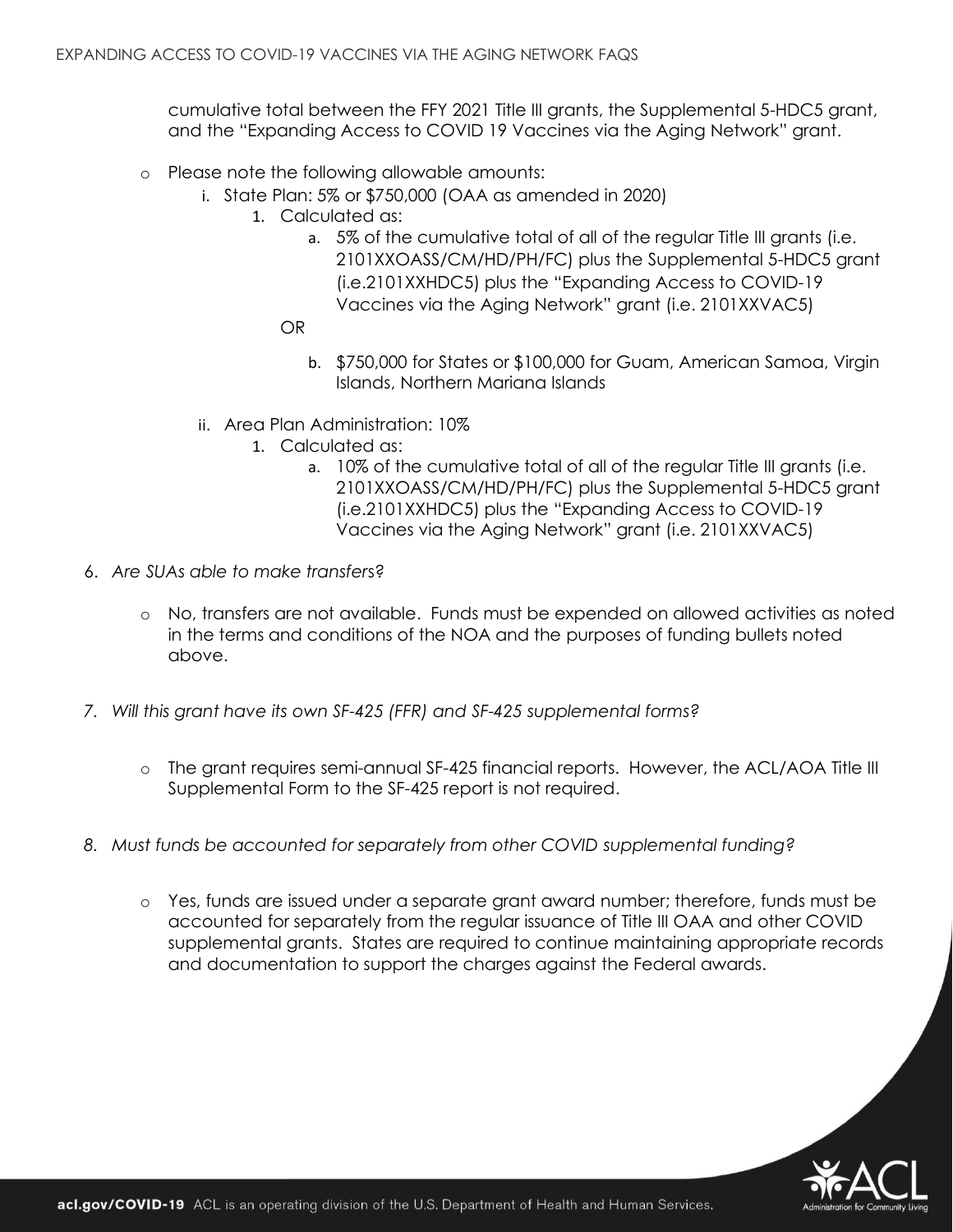cumulative total between the FFY 2021 Title III grants, the Supplemental 5-HDC5 grant, and the "Expanding Access to COVID 19 Vaccines via the Aging Network" grant.

- o Please note the following allowable amounts:
	- i. State Plan: 5% or \$750,000 (OAA as amended in 2020)
		- 1. Calculated as:
			- a. 5% of the cumulative total of all of the regular Title III grants (i.e. 2101XXOASS/CM/HD/PH/FC) plus the Supplemental 5-HDC5 grant (i.e.2101XXHDC5) plus the "Expanding Access to COVID-19 Vaccines via the Aging Network" grant (i.e. 2101XXVAC5)
			- OR
				- b. \$750,000 for States or \$100,000 for Guam, American Samoa, Virgin Islands, Northern Mariana Islands
	- ii. Area Plan Administration: 10%
		- 1. Calculated as:
			- a. 10% of the cumulative total of all of the regular Title III grants (i.e. 2101XXOASS/CM/HD/PH/FC) plus the Supplemental 5-HDC5 grant (i.e.2101XXHDC5) plus the "Expanding Access to COVID-19 Vaccines via the Aging Network" grant (i.e. 2101XXVAC5)
- 6. *Are SUAs able to make transfer*s?
	- o No, transfers are not available. Funds must be expended on allowed activities as noted in the terms and conditions of the NOA and the purposes of funding bullets noted above.
- *7. Will this grant have its own SF-425 (FFR) and SF-425 supplemental forms?*
	- o The grant requires semi-annual SF-425 financial reports. However, the ACL/AOA Title III Supplemental Form to the SF-425 report is not required.
- *8. Must funds be accounted for separately from other COVID supplemental funding?*
	- o Yes, funds are issued under a separate grant award number; therefore, funds must be accounted for separately from the regular issuance of Title III OAA and other COVID supplemental grants. States are required to continue maintaining appropriate records and documentation to support the charges against the Federal awards.